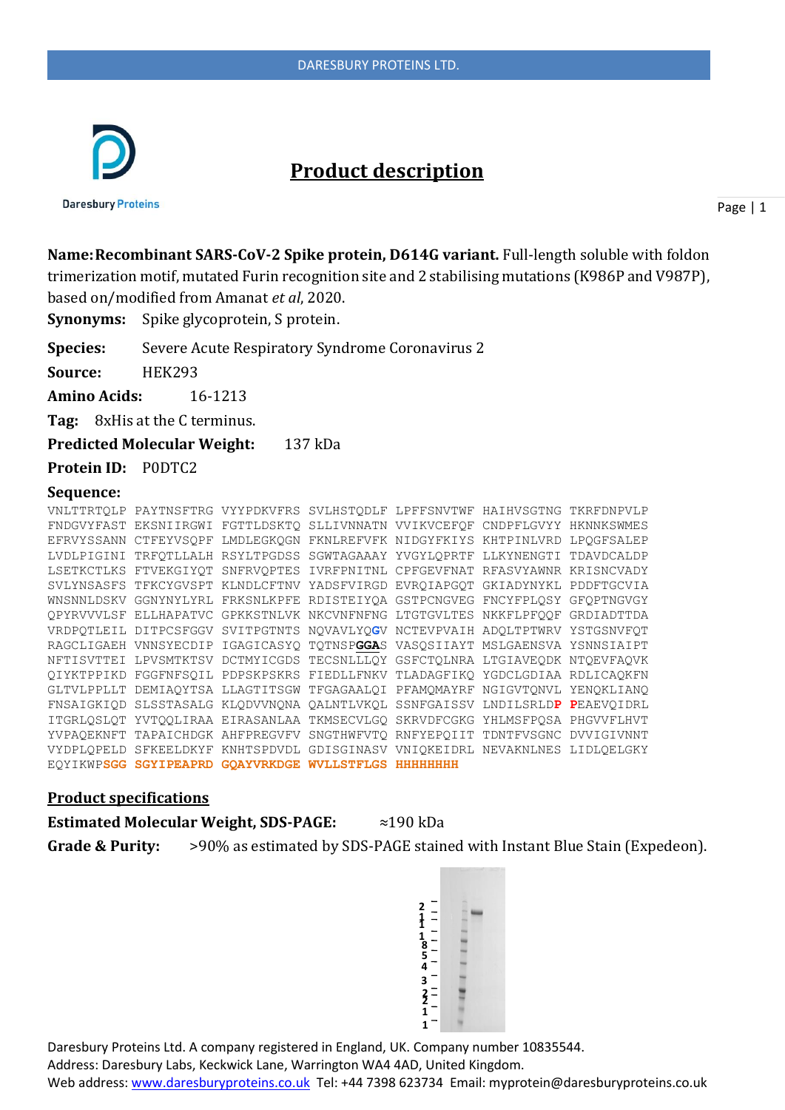

# **Product description**

**Daresbury Proteins** 

Page | 1

**Name:Recombinant SARS-CoV-2 Spike protein, D614G variant.** Full-length soluble with foldon trimerization motif, mutated Furin recognition site and 2 stabilising mutations (K986P and V987P), based on/modified from Amanat *et al*, 2020.

**Synonyms:** Spike glycoprotein, S protein.

**Species:** Severe Acute Respiratory Syndrome Coronavirus 2

**Source:** HEK293

**Amino Acids:** 16-1213

**Tag:** 8xHis at the C terminus.

**Predicted Molecular Weight:** 137 kDa

**Protein ID:** P0DTC2

### **Sequence:**

|  | VNLTTRTOLP PAYTNSFTRG VYYPDKVFRS SVLHSTODLF LPFFSNVTWF HAIHVSGTNG TKRFDNPVLP |  |  |
|--|------------------------------------------------------------------------------|--|--|
|  | FNDGVYFAST EKSNIIRGWI FGTTLDSKTQ SLLIVNNATN VVIKVCEFQF CNDPFLGVYY HKNNKSWMES |  |  |
|  | EFRVYSSANN CTFEYVSOPF LMDLEGKOGN FKNLREFVFK NIDGYFKIYS KHTPINLVRD LPOGFSALEP |  |  |
|  | LVDLPIGINI TRFQTLLALH RSYLTPGDSS SGWTAGAAAY YVGYLQPRTF LLKYNENGTI TDAVDCALDP |  |  |
|  | LSETKCTLKS FTVEKGIYQT SNFRVQPTES IVRFPNITNL CPFGEVFNAT RFASVYAWNR KRISNCVADY |  |  |
|  | SVLYNSASFS TFKCYGVSPT KLNDLCFTNV YADSFVIRGD EVROIAPGOT GKIADYNYKL PDDFTGCVIA |  |  |
|  | WNSNNLDSKV GGNYNYLYRL FRKSNLKPFE RDISTEIYQA GSTPCNGVEG FNCYFPLQSY GFQPTNGVGY |  |  |
|  | OPYRVVVLSF ELLHAPATVC GPKKSTNLVK NKCVNFNFNG LTGTGVLTES NKKFLPFOOF GRDIADTTDA |  |  |
|  | VRDPQTLEIL DITPCSFGGV SVITPGTNTS NQVAVLYQGV NCTEVPVAIH ADQLTPTWRV YSTGSNVFQT |  |  |
|  | RAGCLIGAEH VNNSYECDIP IGAGICASYO TOTNSPGGAS VASOSIIAYT MSLGAENSVA YSNNSIAIPT |  |  |
|  | NFTISVTTEI LPVSMTKTSV DCTMYICGDS TECSNLLLQY GSFCTQLNRA LTGIAVEQDK NTQEVFAQVK |  |  |
|  | QIYKTPPIKD FGGFNFSQIL PDPSKPSKRS FIEDLLFNKV TLADAGFIKQ YGDCLGDIAA RDLICAQKFN |  |  |
|  | GLTVLPPLLT DEMIAQYTSA LLAGTITSGW TFGAGAALQI PFAMQMAYRF NGIGVTQNVL YENQKLIANQ |  |  |
|  | FNSAIGKIQD SLSSTASALG KLQDVVNQNA QALNTLVKQL SSNFGAISSV LNDILSRLDP PEAEVQIDRL |  |  |
|  | ITGRLOSLOT YVTOOLIRAA EIRASANLAA TKMSECVLGO SKRVDFCGKG YHLMSFPOSA PHGVVFLHVT |  |  |
|  | YVPAOEKNFT TAPAICHDGK AHFPREGVFV SNGTHWFVTO RNFYEPOIIT TDNTFVSGNC DVVIGIVNNT |  |  |
|  | VYDPLOPELD SFKEELDKYF KNHTSPDVDL GDISGINASV VNIOKEIDRL NEVAKNLNES LIDLOELGKY |  |  |
|  | EOYIKWPSGG SGYIPEAPRD GOAYVRKDGE WVLLSTFLGS HHHHHHHH                         |  |  |

#### **Product specifications**

**Estimated Molecular Weight, SDS-PAGE:** ≈190 kDa

**Grade & Purity:** >90% as estimated by SDS-PAGE stained with Instant Blue Stain (Expedeon).

Daresbury Proteins Ltd. A company registered in England, UK. Company number 10835544. Address: Daresbury Labs, Keckwick Lane, Warrington WA4 4AD, United Kingdom. Web address[: www.daresburyproteins.co.uk](http://www.daresburyproteins.co.uk/) Tel: +44 7398 623734 Email: myprotein@daresburyproteins.co.uk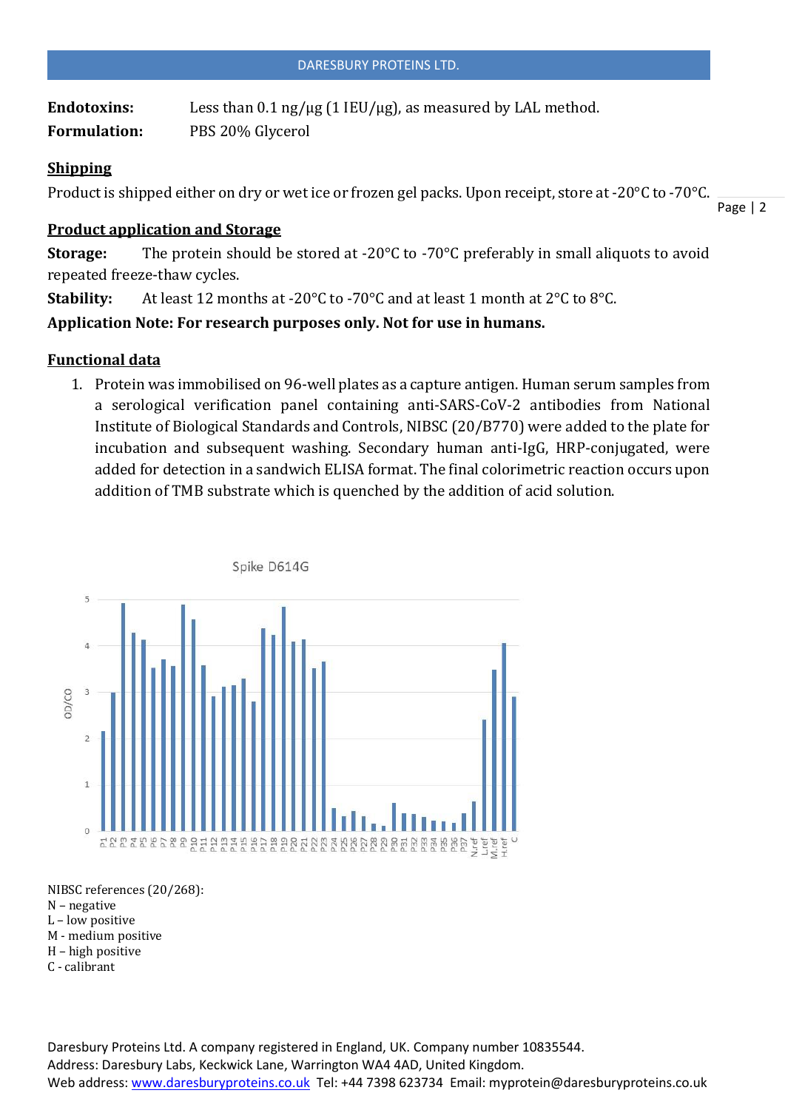Endotoxins: Less than 0.1 ng/µg (1 IEU/µg), as measured by LAL method. **Formulation:** PBS 20% Glycerol

# **Shipping**

Product is shipped either on dry or wet ice or frozen gel packs. Upon receipt, store at -20°C to -70°C.

## **Product application and Storage**

**Storage:** The protein should be stored at -20°C to -70°C preferably in small aliquots to avoid repeated freeze-thaw cycles.

**Stability:** At least 12 months at -20°C to -70°C and at least 1 month at 2°C to 8°C.

**Application Note: For research purposes only. Not for use in humans.**

# **Functional data**

1. Protein was immobilised on 96-well plates as a capture antigen. Human serum samples from a serological verification panel containing anti-SARS-CoV-2 antibodies from National Institute of Biological Standards and Controls, NIBSC (20/B770) were added to the plate for incubation and subsequent washing. Secondary human anti-IgG, HRP-conjugated, were added for detection in a sandwich ELISA format. The final colorimetric reaction occurs upon addition of TMB substrate which is quenched by the addition of acid solution.



NIBSC references (20/268):

- N negative
- L low positive
- M medium positive
- H high positive
- C calibrant

Daresbury Proteins Ltd. A company registered in England, UK. Company number 10835544. Address: Daresbury Labs, Keckwick Lane, Warrington WA4 4AD, United Kingdom. Web address[: www.daresburyproteins.co.uk](http://www.daresburyproteins.co.uk/) Tel: +44 7398 623734 Email: myprotein@daresburyproteins.co.uk

Page | 2